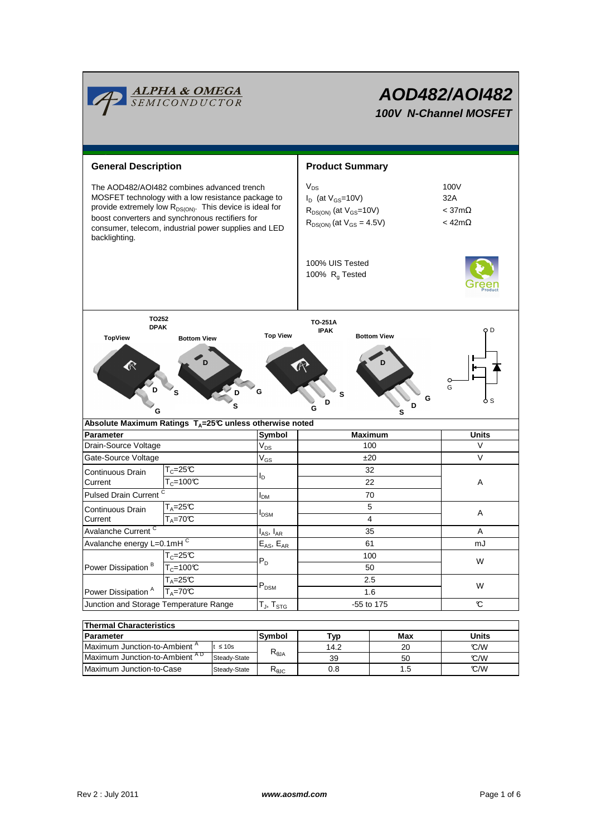|                                                                                                                                                                                                                                                                                                      | <b>ALPHA &amp; OMEGA</b><br>SEMICONDUCTOR |                           | AOD482/AOI482<br>100V N-Channel MOSFET                                                                        |                                   |                                                     |  |  |
|------------------------------------------------------------------------------------------------------------------------------------------------------------------------------------------------------------------------------------------------------------------------------------------------------|-------------------------------------------|---------------------------|---------------------------------------------------------------------------------------------------------------|-----------------------------------|-----------------------------------------------------|--|--|
| <b>General Description</b>                                                                                                                                                                                                                                                                           |                                           |                           | <b>Product Summary</b>                                                                                        |                                   |                                                     |  |  |
| The AOD482/AOI482 combines advanced trench<br>MOSFET technology with a low resistance package to<br>provide extremely low R <sub>DS(ON)</sub> . This device is ideal for<br>boost converters and synchronous rectifiers for<br>consumer, telecom, industrial power supplies and LED<br>backlighting. |                                           |                           | $V_{DS}$<br>$I_D$ (at $V_{GS}$ =10V)<br>$R_{DS(ON)}$ (at $V_{GS}$ =10V)<br>$R_{DS(ON)}$ (at $V_{GS} = 4.5V$ ) |                                   | 100V<br>32A<br>$<$ 37m $\Omega$<br>$<$ 42m $\Omega$ |  |  |
|                                                                                                                                                                                                                                                                                                      |                                           |                           | 100% UIS Tested<br>100% R <sub>g</sub> Tested                                                                 |                                   |                                                     |  |  |
| TO252<br><b>DPAK</b><br><b>TopView</b><br>G                                                                                                                                                                                                                                                          | <b>Bottom View</b><br>S                   | <b>Top View</b><br>G<br>s | TO-251A<br><b>IPAK</b><br>s<br>ח<br>G                                                                         | <b>Bottom View</b><br>G<br>D<br>s | O D<br>o<br>G<br>o s                                |  |  |
| Absolute Maximum Ratings $T_A = 25^\circ \text{C}$ unless otherwise noted                                                                                                                                                                                                                            |                                           |                           |                                                                                                               |                                   |                                                     |  |  |
| <b>Parameter</b>                                                                                                                                                                                                                                                                                     |                                           | Symbol                    | <b>Maximum</b>                                                                                                |                                   | <b>Units</b>                                        |  |  |
| Drain-Source Voltage                                                                                                                                                                                                                                                                                 |                                           | $V_{DS}$                  | 100                                                                                                           |                                   | V                                                   |  |  |
| Gate-Source Voltage<br>Continuous Drain<br>Current                                                                                                                                                                                                                                                   | $\mathsf{T}_{c}$ =25°C<br>$T_c = 100C$    | $\rm V_{GS}$<br>ΙD        | ±20<br>32<br>22                                                                                               |                                   | V<br>A                                              |  |  |
| Pulsed Drain Current <sup>C</sup>                                                                                                                                                                                                                                                                    |                                           | <b>I</b> <sub>DM</sub>    | 70                                                                                                            |                                   |                                                     |  |  |
| Continuous Drain<br>Current                                                                                                                                                                                                                                                                          | $T_A = 25C$<br>$T_A = 70^\circ C$         | <b>I</b> <sub>DSM</sub>   |                                                                                                               | 5<br>4                            | Α                                                   |  |  |
| Avalanche Current <sup>C</sup>                                                                                                                                                                                                                                                                       |                                           | $I_{AS}$ , $I_{AR}$       |                                                                                                               | 35                                | Α                                                   |  |  |
| Avalanche energy L=0.1mHC                                                                                                                                                                                                                                                                            |                                           | $E_{AS}$ , $E_{AR}$       |                                                                                                               | 61                                | mJ                                                  |  |  |
| $T_c = 25C$<br>Power Dissipation <sup>B</sup><br>$T_c = 100C$                                                                                                                                                                                                                                        |                                           | $P_D$                     | 100<br>50                                                                                                     |                                   | W                                                   |  |  |
| Power Dissipation <sup>A</sup>                                                                                                                                                                                                                                                                       | $T_A = 25C$<br>$T_A = 70^\circ C$         | $\mathsf{P}_\mathsf{DSM}$ | 2.5<br>1.6                                                                                                    |                                   | W                                                   |  |  |
| Junction and Storage Temperature Range                                                                                                                                                                                                                                                               |                                           | $T_J$ , $T_{STG}$         | -55 to 175                                                                                                    |                                   | C                                                   |  |  |
| <b>Thermal Characteristics</b>                                                                                                                                                                                                                                                                       |                                           |                           |                                                                                                               |                                   |                                                     |  |  |
| <b>Parameter</b>                                                                                                                                                                                                                                                                                     |                                           | Symbol                    | <u>Typ</u>                                                                                                    | Max                               | <b>Units</b>                                        |  |  |
| Maximum Junction-to-Ambient <sup>A</sup><br>$t \leq 10s$                                                                                                                                                                                                                                             |                                           |                           | 14.2                                                                                                          | 20                                | C/W                                                 |  |  |

| <b>Thermal Characteristics</b>           |                      |                                   |      |       |     |  |  |  |
|------------------------------------------|----------------------|-----------------------------------|------|-------|-----|--|--|--|
| <b>Parameter</b>                         | <b>Svmbol</b><br>Typ |                                   | Max  | Units |     |  |  |  |
| Maximum Junction-to-Ambient <sup>"</sup> | $\leq 10$ s          |                                   | 14.2 | 20    | C/M |  |  |  |
| Maximum Junction-to-Ambient AD           | Steady-State         | $R_{\theta$ JA                    | 39   | 50    | C/M |  |  |  |
| Maximum Junction-to-Case                 | Steady-State         | $\mathsf{R}_{\mathsf{\theta JC}}$ | 0.8  | l.5   | C/M |  |  |  |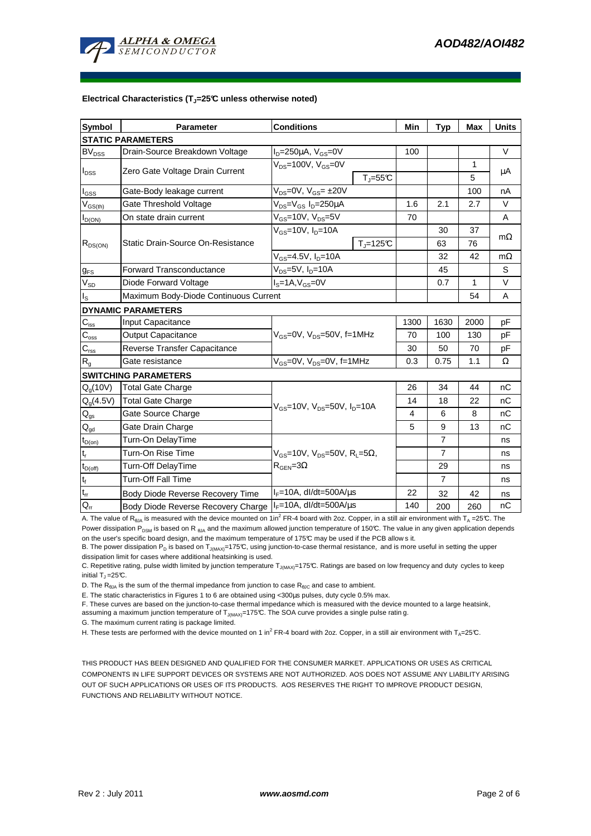

#### **Electrical Characteristics (TJ=25°C unless otherwise noted)**

| <b>Symbol</b>               | <b>Conditions</b><br><b>Parameter</b>    |                                                                                                 |              | Min  | <b>Typ</b>     | Max  | <b>Units</b> |  |  |
|-----------------------------|------------------------------------------|-------------------------------------------------------------------------------------------------|--------------|------|----------------|------|--------------|--|--|
| <b>STATIC PARAMETERS</b>    |                                          |                                                                                                 |              |      |                |      |              |  |  |
| <b>BV<sub>DSS</sub></b>     | Drain-Source Breakdown Voltage           | $I_D = 250 \mu A$ , $V_{GS} = 0V$                                                               |              | 100  |                |      | $\vee$       |  |  |
| $I_{DSS}$                   | Zero Gate Voltage Drain Current          | $V_{DS}$ =100V, $V_{GS}$ =0V                                                                    |              |      |                | 1    |              |  |  |
|                             |                                          |                                                                                                 | $T_J = 55C$  |      |                | 5    | μA           |  |  |
| l <sub>GSS</sub>            | Gate-Body leakage current                | $V_{DS}$ =0V, $V_{GS}$ = ±20V                                                                   |              |      |                | 100  | nA           |  |  |
| $V_{GS(th)}$                | Gate Threshold Voltage                   | V <sub>DS</sub> =V <sub>GS</sub> I <sub>D</sub> =250µA                                          |              | 1.6  | 2.1            | 2.7  | $\vee$       |  |  |
| $I_{D(ON)}$                 | On state drain current                   | $V_{GS}$ =10V, $V_{DS}$ =5V                                                                     |              | 70   |                |      | A            |  |  |
| $R_{DS(ON)}$                |                                          | V <sub>GS</sub> =10V, I <sub>D</sub> =10A                                                       |              |      | 30             | 37   |              |  |  |
|                             | Static Drain-Source On-Resistance        |                                                                                                 | $T_J = 125C$ |      | 63             | 76   | $m\Omega$    |  |  |
|                             |                                          | V <sub>GS</sub> =4.5V, I <sub>D</sub> =10A                                                      |              |      | 32             | 42   | $m\Omega$    |  |  |
| $g_{FS}$                    | <b>Forward Transconductance</b>          | V <sub>DS</sub> =5V, I <sub>D</sub> =10A                                                        |              |      | 45             |      | S            |  |  |
| $V_{SD}$                    | $IS=1A, VGS=0V$<br>Diode Forward Voltage |                                                                                                 |              |      | 0.7            | 1    | V            |  |  |
| ls                          | Maximum Body-Diode Continuous Current    |                                                                                                 |              |      |                | 54   | A            |  |  |
|                             | <b>DYNAMIC PARAMETERS</b>                |                                                                                                 |              |      |                |      |              |  |  |
| $C_{\text{iss}}$            | Input Capacitance                        | $V_{GS}$ =0V, $V_{DS}$ =50V, f=1MHz                                                             |              | 1300 | 1630           | 2000 | pF           |  |  |
| $\mathsf{C}_{\mathrm{oss}}$ | <b>Output Capacitance</b>                |                                                                                                 |              | 70   | 100            | 130  | pF           |  |  |
| $C_{\rm rss}$               | Reverse Transfer Capacitance             |                                                                                                 |              | 30   | 50             | 70   | pF           |  |  |
| R <sub>g</sub>              | Gate resistance                          | $V_{GS}$ =0V, $V_{DS}$ =0V, f=1MHz                                                              |              | 0.3  | 0.75           | 1.1  | Ω            |  |  |
|                             | <b>SWITCHING PARAMETERS</b>              |                                                                                                 |              |      |                |      |              |  |  |
| $Q_q(10V)$                  | <b>Total Gate Charge</b>                 | $V_{GS}$ =10V, $V_{DS}$ =50V, $I_{D}$ =10A                                                      |              | 26   | 34             | 44   | nC           |  |  |
| Q <sub>a</sub> (4.5V)       | <b>Total Gate Charge</b>                 |                                                                                                 |              | 14   | 18             | 22   | nC           |  |  |
| $\mathsf{Q}_{\text{gs}}$    | Gate Source Charge                       |                                                                                                 |              | 4    | 6              | 8    | nC           |  |  |
| $\mathsf{Q}_{\text{gd}}$    | Gate Drain Charge                        |                                                                                                 |              | 5    | 9              | 13   | nС           |  |  |
| $t_{D(0n)}$                 | Turn-On DelayTime                        |                                                                                                 |              |      | 7              |      | ns           |  |  |
| $\mathsf{t}_\mathsf{r}$     | Turn-On Rise Time                        | $V_{GS}$ =10V, V <sub>DS</sub> =50V, R <sub>L</sub> =5 $\Omega$ ,<br>$R_{\text{GEN}} = 3\Omega$ |              |      | $\overline{7}$ |      | ns           |  |  |
| $t_{D(off)}$                | Turn-Off DelayTime                       |                                                                                                 |              |      | 29             |      | ns           |  |  |
| $t_f$                       | <b>Turn-Off Fall Time</b>                |                                                                                                 |              |      | $\overline{7}$ |      | ns           |  |  |
| $t_{rr}$                    | Body Diode Reverse Recovery Time         | $I_F = 10A$ , dl/dt=500A/ $\mu$ s                                                               |              | 22   | 32             | 42   | ns           |  |  |
| $Q_{rr}$                    | Body Diode Reverse Recovery Charge       | $I_F = 10A$ , dl/dt=500A/us                                                                     |              | 140  | 200            | 260  | nC           |  |  |

A. The value of R<sub>θJA</sub> is measured with the device mounted on 1in<sup>2</sup> FR-4 board with 2oz. Copper, in a still air environment with T<sub>A</sub> =25°C. The Power dissipation P<sub>DSM</sub> is based on R<sub>6MA</sub> and the maximum allowed junction temperature of 150°C. The value in any given application depends on the user's specific board design, and the maximum temperature of 175°C may be used if the PCB allow s it.

B. The power dissipation P<sub>D</sub> is based on T<sub>J(MAX)</sub>=175°C, using junction-to-case thermal resistance, and is more useful in setting the upper dissipation limit for cases where additional heatsinking is used.

C. Repetitive rating, pulse width limited by junction temperature T<sub>J(MAX)</sub>=175°C. Ratings are based on low frequency and duty cycles to keep initial  $T_1 = 25$ °C.

D. The  $R_{hJA}$  is the sum of the thermal impedance from junction to case  $R_{hIG}$  and case to ambient.

E. The static characteristics in Figures 1 to 6 are obtained using <300µs pulses, duty cycle 0.5% max.

F. These curves are based on the junction-to-case thermal impedance which is measured with the device mounted to a large heatsink,

assuming a maximum junction temperature of  $T_{J(MAX)}$ =175°C. The SOA curve provides a single pulse ratin g.

G. The maximum current rating is package limited.

H. These tests are performed with the device mounted on 1 in<sup>2</sup> FR-4 board with 2oz. Copper, in a still air environment with T<sub>A</sub>=25°C.

THIS PRODUCT HAS BEEN DESIGNED AND QUALIFIED FOR THE CONSUMER MARKET. APPLICATIONS OR USES AS CRITICAL COMPONENTS IN LIFE SUPPORT DEVICES OR SYSTEMS ARE NOT AUTHORIZED. AOS DOES NOT ASSUME ANY LIABILITY ARISING OUT OF SUCH APPLICATIONS OR USES OF ITS PRODUCTS. AOS RESERVES THE RIGHT TO IMPROVE PRODUCT DESIGN, FUNCTIONS AND RELIABILITY WITHOUT NOTICE.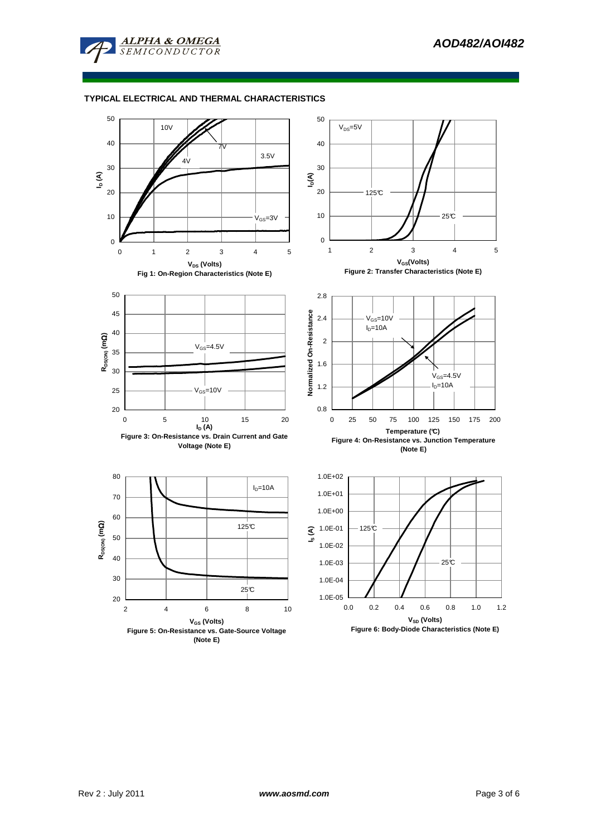

## **TYPICAL ELECTRICAL AND THERMAL CHARACTERISTICS**

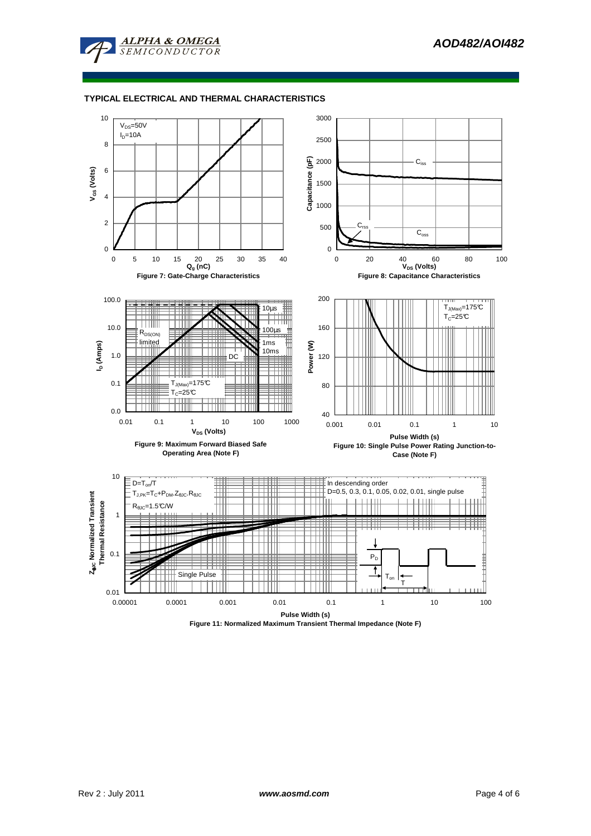

### **TYPICAL ELECTRICAL AND THERMAL CHARACTERISTICS**



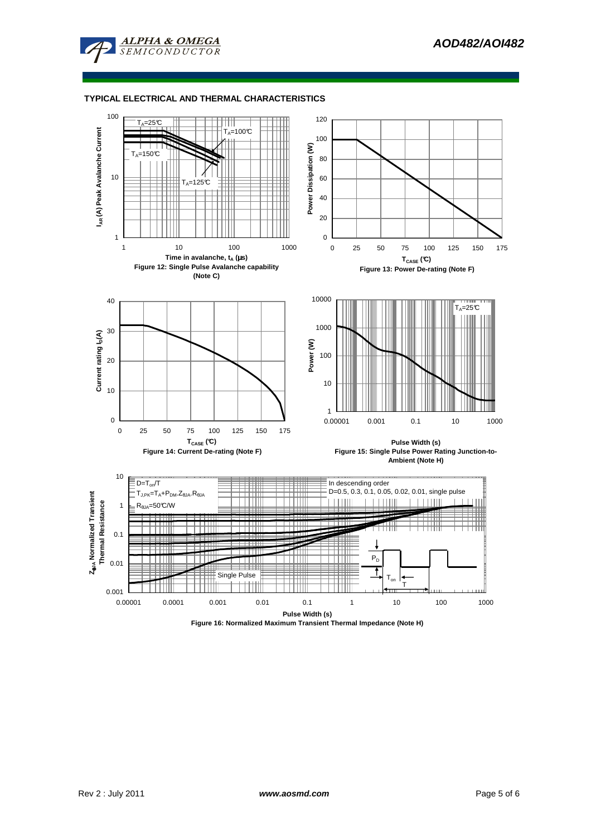

### **TYPICAL ELECTRICAL AND THERMAL CHARACTERISTICS**



**Figure 16: Normalized Maximum Transient Thermal Impedance (Note H)**